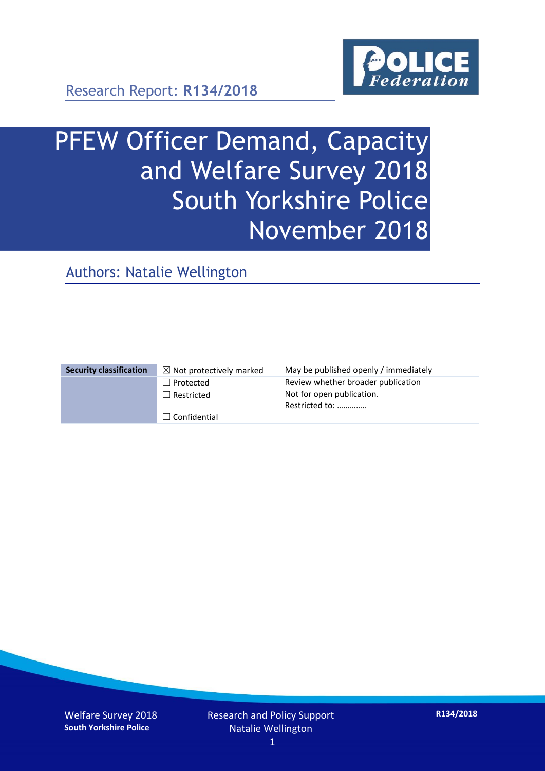

Research Report: **R134/2018**

# PFEW Officer Demand, Capacity and Welfare Survey 2018 South Yorkshire Police November 2018

Authors: Natalie Wellington

| <b>Security classification</b> | $\boxtimes$ Not protectively marked | May be published openly / immediately       |
|--------------------------------|-------------------------------------|---------------------------------------------|
|                                | $\Box$ Protected                    | Review whether broader publication          |
|                                | $\Box$ Restricted                   | Not for open publication.<br>Restricted to: |
|                                | $\Box$ Confidential                 |                                             |

Welfare Survey 2018 **South Yorkshire Police**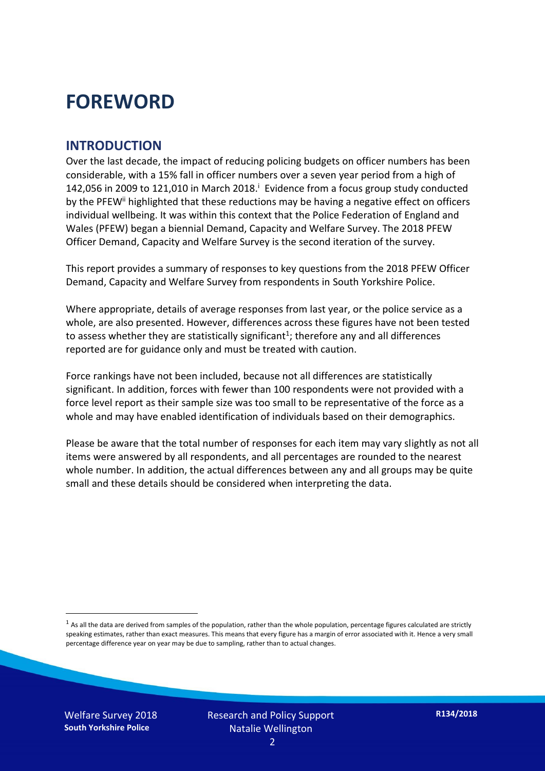## **FOREWORD**

#### **INTRODUCTION**

Over the last decade, the impact of reducing policing budgets on officer numbers has been considerable, with a 15% fall in officer numbers over a seven year period from a high of 142,056 in 2009 to 121,010 in March 2018. $^{\mathrm{i}}$  Evidence from a focus group study conducted by the PFEW<sup>ii</sup> highlighted that these reductions may be having a negative effect on officers individual wellbeing. It was within this context that the Police Federation of England and Wales (PFEW) began a biennial Demand, Capacity and Welfare Survey. The 2018 PFEW Officer Demand, Capacity and Welfare Survey is the second iteration of the survey.

This report provides a summary of responses to key questions from the 2018 PFEW Officer Demand, Capacity and Welfare Survey from respondents in South Yorkshire Police.

Where appropriate, details of average responses from last year, or the police service as a whole, are also presented. However, differences across these figures have not been tested to assess whether they are statistically significant<sup>1</sup>; therefore any and all differences reported are for guidance only and must be treated with caution.

Force rankings have not been included, because not all differences are statistically significant. In addition, forces with fewer than 100 respondents were not provided with a force level report as their sample size was too small to be representative of the force as a whole and may have enabled identification of individuals based on their demographics.

Please be aware that the total number of responses for each item may vary slightly as not all items were answered by all respondents, and all percentages are rounded to the nearest whole number. In addition, the actual differences between any and all groups may be quite small and these details should be considered when interpreting the data.

 $<sup>1</sup>$  As all the data are derived from samples of the population, rather than the whole population, percentage figures calculated are strictly</sup> speaking estimates, rather than exact measures. This means that every figure has a margin of error associated with it. Hence a very small percentage difference year on year may be due to sampling, rather than to actual changes.

Welfare Survey 2018 **South Yorkshire Police**

-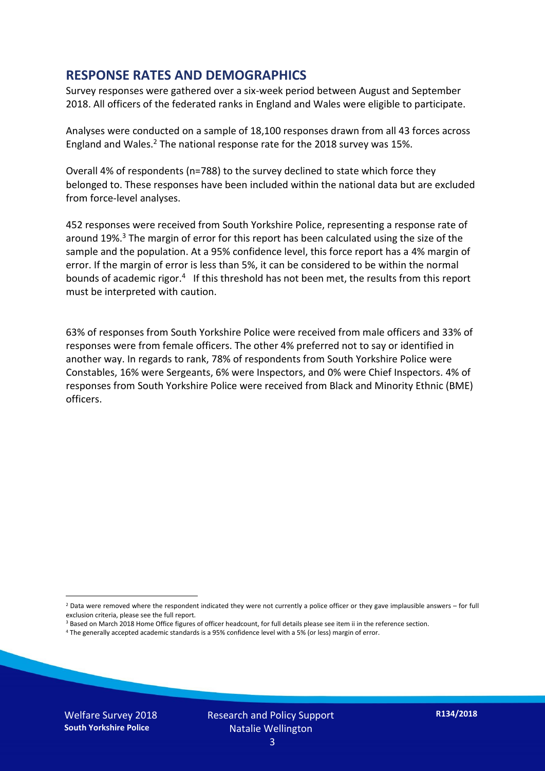#### **RESPONSE RATES AND DEMOGRAPHICS**

Survey responses were gathered over a six-week period between August and September 2018. All officers of the federated ranks in England and Wales were eligible to participate.

Analyses were conducted on a sample of 18,100 responses drawn from all 43 forces across England and Wales.<sup>2</sup> The national response rate for the 2018 survey was 15%.

Overall 4% of respondents (n=788) to the survey declined to state which force they belonged to. These responses have been included within the national data but are excluded from force-level analyses.

452 responses were received from South Yorkshire Police, representing a response rate of around 19%. <sup>3</sup> The margin of error for this report has been calculated using the size of the sample and the population. At a 95% confidence level, this force report has a 4% margin of error. If the margin of error is less than 5%, it can be considered to be within the normal bounds of academic rigor.<sup>4</sup> If this threshold has not been met, the results from this report must be interpreted with caution.

63% of responses from South Yorkshire Police were received from male officers and 33% of responses were from female officers. The other 4% preferred not to say or identified in another way. In regards to rank, 78% of respondents from South Yorkshire Police were Constables, 16% were Sergeants, 6% were Inspectors, and 0% were Chief Inspectors. 4% of responses from South Yorkshire Police were received from Black and Minority Ethnic (BME) officers.

-

 $2$  Data were removed where the respondent indicated they were not currently a police officer or they gave implausible answers – for full exclusion criteria, please see the full report.

<sup>3</sup> Based on March 2018 Home Office figures of officer headcount, for full details please see item ii in the reference section.

<sup>4</sup> The generally accepted academic standards is a 95% confidence level with a 5% (or less) margin of error.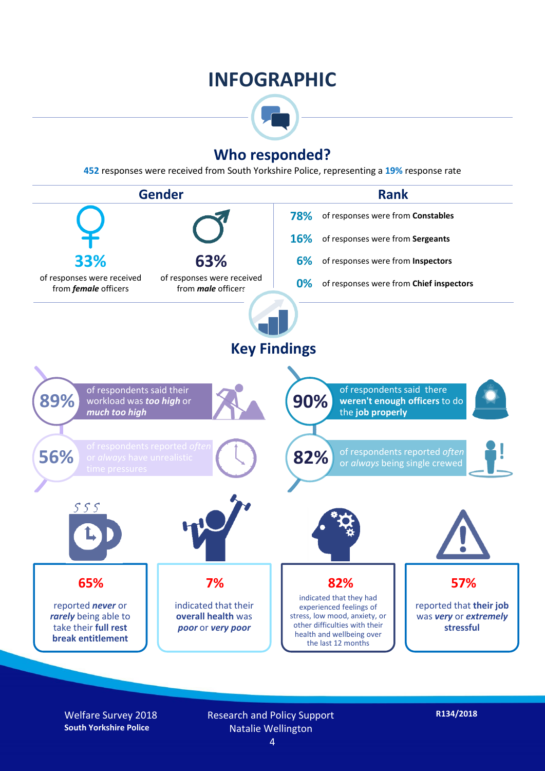## **INFOGRAPHIC**



## **Who responded?**

**452** responses were received from South Yorkshire Police, representing a **19%** response rate



Welfare Survey 2018 **South Yorkshire Police**

Research and Policy Support Natalie Wellington 4

**R134/2018**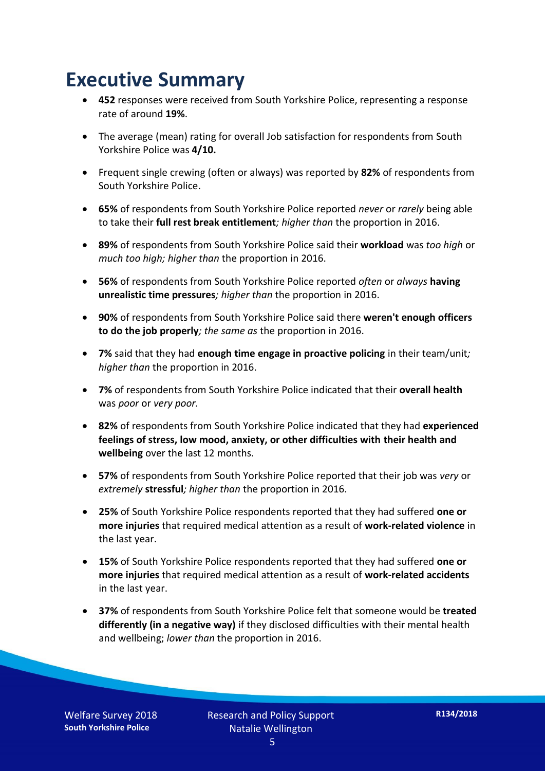## **Executive Summary**

- **452** responses were received from South Yorkshire Police, representing a response rate of around **19%**.
- The average (mean) rating for overall Job satisfaction for respondents from South Yorkshire Police was **4/10.**
- Frequent single crewing (often or always) was reported by **82%** of respondents from South Yorkshire Police.
- **65%** of respondents from South Yorkshire Police reported *never* or *rarely* being able to take their **full rest break entitlement***; higher than* the proportion in 2016.
- **89%** of respondents from South Yorkshire Police said their **workload** was *too high* or *much too high; higher than* the proportion in 2016.
- **56%** of respondents from South Yorkshire Police reported *often* or *always* **having unrealistic time pressures***; higher than* the proportion in 2016.
- **90%** of respondents from South Yorkshire Police said there **weren't enough officers to do the job properly***; the same as* the proportion in 2016.
- **7%** said that they had **enough time engage in proactive policing** in their team/unit*; higher than* the proportion in 2016.
- **7%** of respondents from South Yorkshire Police indicated that their **overall health** was *poor* or *very poor.*
- **82%** of respondents from South Yorkshire Police indicated that they had **experienced feelings of stress, low mood, anxiety, or other difficulties with their health and wellbeing** over the last 12 months.
- **57%** of respondents from South Yorkshire Police reported that their job was *very* or *extremely* **stressful***; higher than* the proportion in 2016.
- **25%** of South Yorkshire Police respondents reported that they had suffered **one or more injuries** that required medical attention as a result of **work-related violence** in the last year.
- **15%** of South Yorkshire Police respondents reported that they had suffered **one or more injuries** that required medical attention as a result of **work-related accidents**  in the last year.
- **37%** of respondents from South Yorkshire Police felt that someone would be **treated differently (in a negative way)** if they disclosed difficulties with their mental health and wellbeing; *lower than* the proportion in 2016.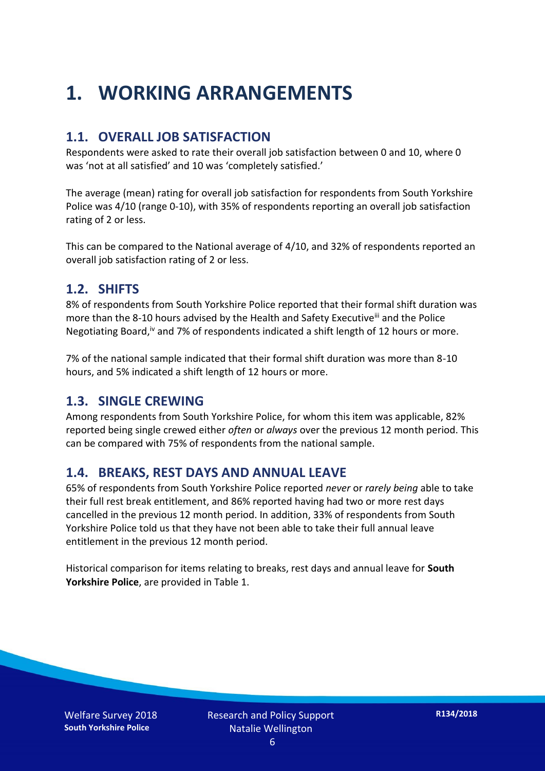## **1. WORKING ARRANGEMENTS**

### **1.1. OVERALL JOB SATISFACTION**

Respondents were asked to rate their overall job satisfaction between 0 and 10, where 0 was 'not at all satisfied' and 10 was 'completely satisfied.'

The average (mean) rating for overall job satisfaction for respondents from South Yorkshire Police was 4/10 (range 0-10), with 35% of respondents reporting an overall job satisfaction rating of 2 or less.

This can be compared to the National average of 4/10, and 32% of respondents reported an overall job satisfaction rating of 2 or less.

#### **1.2. SHIFTS**

8% of respondents from South Yorkshire Police reported that their formal shift duration was more than the 8-10 hours advised by the Health and Safety Executive<sup>iii</sup> and the Police Negotiating Board,<sup>iv</sup> and 7% of respondents indicated a shift length of 12 hours or more.

7% of the national sample indicated that their formal shift duration was more than 8-10 hours, and 5% indicated a shift length of 12 hours or more.

#### **1.3. SINGLE CREWING**

Among respondents from South Yorkshire Police, for whom this item was applicable, 82% reported being single crewed either *often* or *always* over the previous 12 month period. This can be compared with 75% of respondents from the national sample.

#### **1.4. BREAKS, REST DAYS AND ANNUAL LEAVE**

65% of respondents from South Yorkshire Police reported *never* or *rarely being* able to take their full rest break entitlement, and 86% reported having had two or more rest days cancelled in the previous 12 month period. In addition, 33% of respondents from South Yorkshire Police told us that they have not been able to take their full annual leave entitlement in the previous 12 month period.

Historical comparison for items relating to breaks, rest days and annual leave for **South Yorkshire Police**, are provided in Table 1.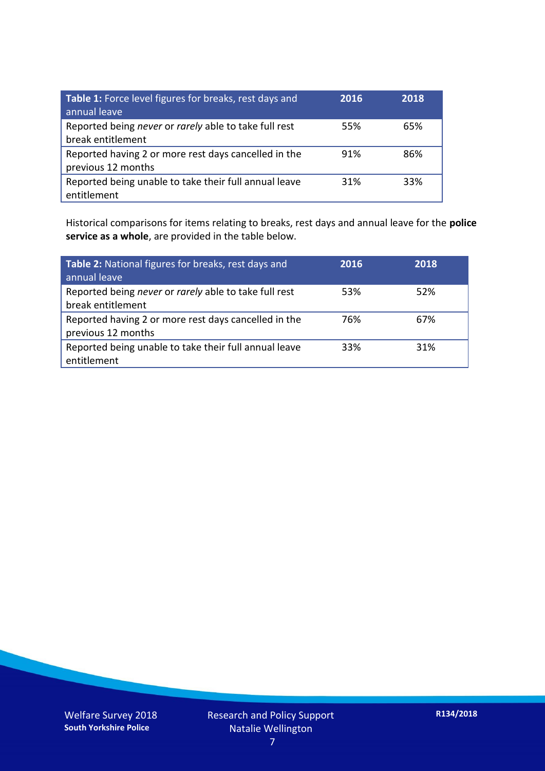| Table 1: Force level figures for breaks, rest days and<br>annual leave     | 2016 | 2018 |
|----------------------------------------------------------------------------|------|------|
| Reported being never or rarely able to take full rest<br>break entitlement | 55%  | 65%  |
| Reported having 2 or more rest days cancelled in the<br>previous 12 months | 91%  | 86%  |
| Reported being unable to take their full annual leave<br>entitlement       | 31%  | 33%  |

Historical comparisons for items relating to breaks, rest days and annual leave for the **police service as a whole**, are provided in the table below.

| Table 2: National figures for breaks, rest days and<br>annual leave        | 2016 | 2018 |
|----------------------------------------------------------------------------|------|------|
| Reported being never or rarely able to take full rest<br>break entitlement | 53%  | 52%  |
| Reported having 2 or more rest days cancelled in the<br>previous 12 months | 76%  | 67%  |
| Reported being unable to take their full annual leave<br>entitlement       | 33%  | 31%  |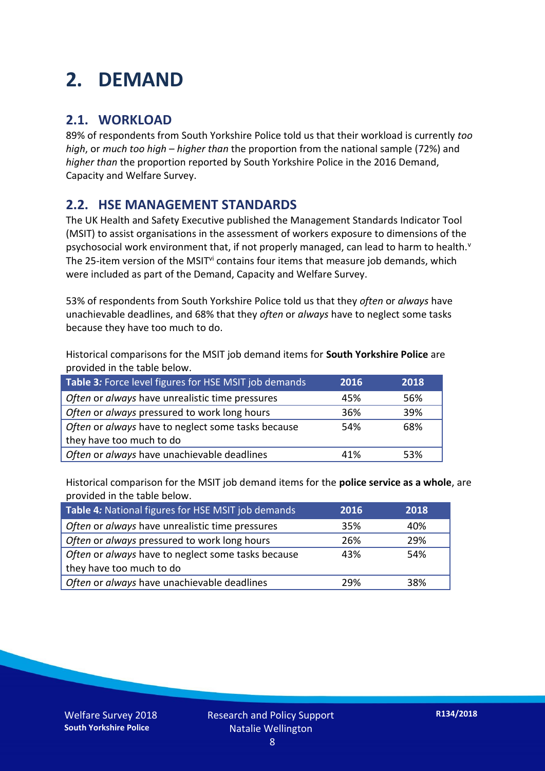## **2. DEMAND**

### **2.1. WORKLOAD**

89% of respondents from South Yorkshire Police told us that their workload is currently *too high*, or *much too high* – *higher than* the proportion from the national sample (72%) and *higher than* the proportion reported by South Yorkshire Police in the 2016 Demand, Capacity and Welfare Survey.

### **2.2. HSE MANAGEMENT STANDARDS**

The UK Health and Safety Executive published the Management Standards Indicator Tool (MSIT) to assist organisations in the assessment of workers exposure to dimensions of the psychosocial work environment that, if not properly managed, can lead to harm to health.<sup>v</sup> The 25-item version of the MSIT<sup>vi</sup> contains four items that measure job demands, which were included as part of the Demand, Capacity and Welfare Survey.

53% of respondents from South Yorkshire Police told us that they *often* or *always* have unachievable deadlines, and 68% that they *often* or *always* have to neglect some tasks because they have too much to do.

Historical comparisons for the MSIT job demand items for **South Yorkshire Police** are provided in the table below.

| Table 3: Force level figures for HSE MSIT job demands | 2016 | 2018 |
|-------------------------------------------------------|------|------|
| Often or always have unrealistic time pressures       | 45%  | 56%  |
| Often or always pressured to work long hours          | 36%  | 39%  |
| Often or always have to neglect some tasks because    | 54%  | 68%  |
| they have too much to do                              |      |      |
| Often or always have unachievable deadlines           | 41%  | 53%  |

Historical comparison for the MSIT job demand items for the **police service as a whole**, are provided in the table below.

| Table 4: National figures for HSE MSIT job demands | 2016 | 2018 |
|----------------------------------------------------|------|------|
| Often or always have unrealistic time pressures    | 35%  | 40%  |
| Often or always pressured to work long hours       | 26%  | 29%  |
| Often or always have to neglect some tasks because | 43%  | 54%  |
| they have too much to do                           |      |      |
| Often or always have unachievable deadlines        | 29%  | 38%  |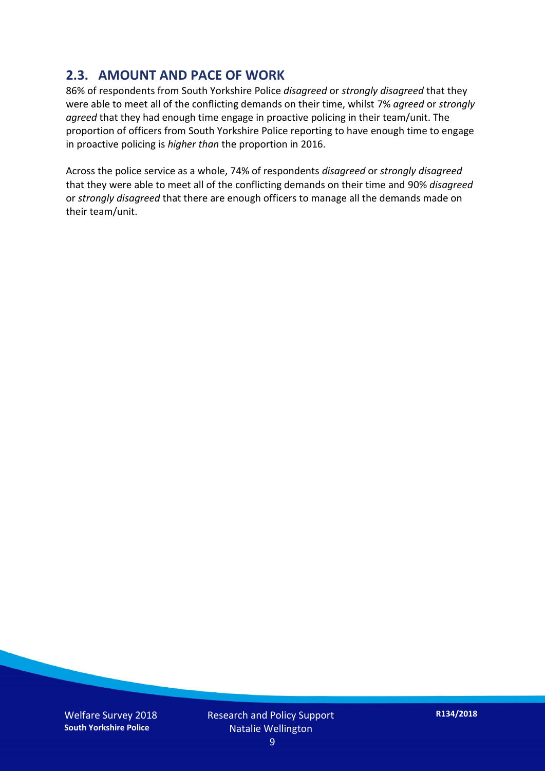### **2.3. AMOUNT AND PACE OF WORK**

86% of respondents from South Yorkshire Police *disagreed* or *strongly disagreed* that they were able to meet all of the conflicting demands on their time, whilst 7% *agreed* or *strongly agreed* that they had enough time engage in proactive policing in their team/unit. The proportion of officers from South Yorkshire Police reporting to have enough time to engage in proactive policing is *higher than* the proportion in 2016.

Across the police service as a whole, 74% of respondents *disagreed* or *strongly disagreed* that they were able to meet all of the conflicting demands on their time and 90% *disagreed* or *strongly disagreed* that there are enough officers to manage all the demands made on their team/unit.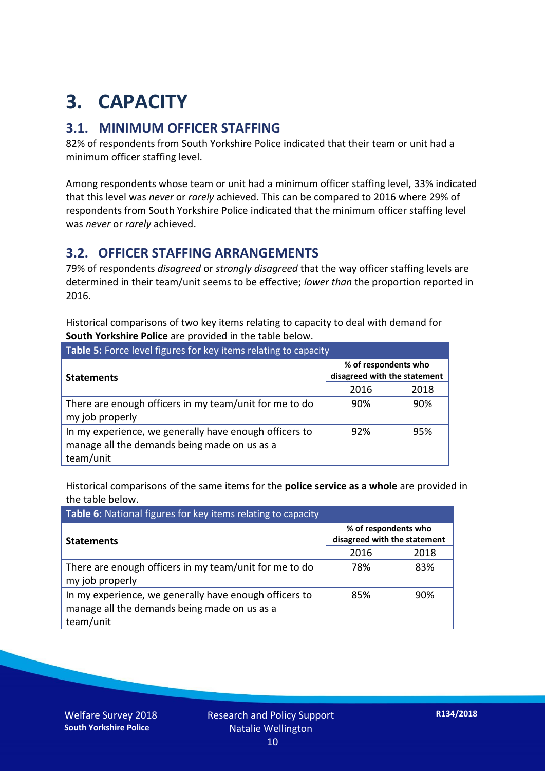## **3. CAPACITY**

### **3.1. MINIMUM OFFICER STAFFING**

82% of respondents from South Yorkshire Police indicated that their team or unit had a minimum officer staffing level.

Among respondents whose team or unit had a minimum officer staffing level, 33% indicated that this level was *never* or *rarely* achieved. This can be compared to 2016 where 29% of respondents from South Yorkshire Police indicated that the minimum officer staffing level was *never* or *rarely* achieved.

#### **3.2. OFFICER STAFFING ARRANGEMENTS**

79% of respondents *disagreed* or *strongly disagreed* that the way officer staffing levels are determined in their team/unit seems to be effective; *lower than* the proportion reported in 2016.

Historical comparisons of two key items relating to capacity to deal with demand for **South Yorkshire Police** are provided in the table below.

| Table 5: Force level figures for key items relating to capacity                                                     |                                                      |      |  |
|---------------------------------------------------------------------------------------------------------------------|------------------------------------------------------|------|--|
| <b>Statements</b>                                                                                                   | % of respondents who<br>disagreed with the statement |      |  |
|                                                                                                                     | 2016                                                 | 2018 |  |
| There are enough officers in my team/unit for me to do<br>my job properly                                           | 90%                                                  | 90%  |  |
| In my experience, we generally have enough officers to<br>manage all the demands being made on us as a<br>team/unit | 92%                                                  | 95%  |  |

Historical comparisons of the same items for the **police service as a whole** are provided in the table below.

| Table 6: National figures for key items relating to capacity                                                        |                                                      |      |  |  |
|---------------------------------------------------------------------------------------------------------------------|------------------------------------------------------|------|--|--|
| <b>Statements</b>                                                                                                   | % of respondents who<br>disagreed with the statement |      |  |  |
|                                                                                                                     | 2016                                                 | 2018 |  |  |
| There are enough officers in my team/unit for me to do<br>my job properly                                           | 78%                                                  | 83%  |  |  |
| In my experience, we generally have enough officers to<br>manage all the demands being made on us as a<br>team/unit | 85%                                                  | 90%  |  |  |

Welfare Survey 2018 **South Yorkshire Police**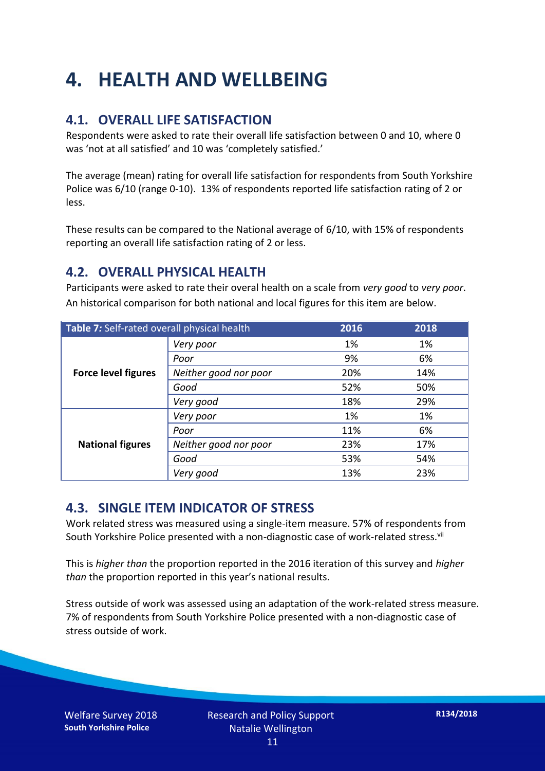## **4. HEALTH AND WELLBEING**

### **4.1. OVERALL LIFE SATISFACTION**

Respondents were asked to rate their overall life satisfaction between 0 and 10, where 0 was 'not at all satisfied' and 10 was 'completely satisfied.'

The average (mean) rating for overall life satisfaction for respondents from South Yorkshire Police was 6/10 (range 0-10). 13% of respondents reported life satisfaction rating of 2 or less.

These results can be compared to the National average of 6/10, with 15% of respondents reporting an overall life satisfaction rating of 2 or less.

### **4.2. OVERALL PHYSICAL HEALTH**

Participants were asked to rate their overal health on a scale from *very good* to *very poor*. An historical comparison for both national and local figures for this item are below.

| Table 7: Self-rated overall physical health |                       | 2016 | 2018 |
|---------------------------------------------|-----------------------|------|------|
| <b>Force level figures</b>                  | Very poor             | 1%   | 1%   |
|                                             | Poor                  | 9%   | 6%   |
|                                             | Neither good nor poor | 20%  | 14%  |
|                                             | Good                  | 52%  | 50%  |
|                                             | Very good             | 18%  | 29%  |
| <b>National figures</b>                     | Very poor             | 1%   | 1%   |
|                                             | Poor                  | 11%  | 6%   |
|                                             | Neither good nor poor | 23%  | 17%  |
|                                             | Good                  | 53%  | 54%  |
|                                             | Very good             | 13%  | 23%  |

#### **4.3. SINGLE ITEM INDICATOR OF STRESS**

Work related stress was measured using a single-item measure. 57% of respondents from South Yorkshire Police presented with a non-diagnostic case of work-related stress.<sup>vii</sup>

This is *higher than* the proportion reported in the 2016 iteration of this survey and *higher than* the proportion reported in this year's national results.

Stress outside of work was assessed using an adaptation of the work-related stress measure. 7% of respondents from South Yorkshire Police presented with a non-diagnostic case of stress outside of work.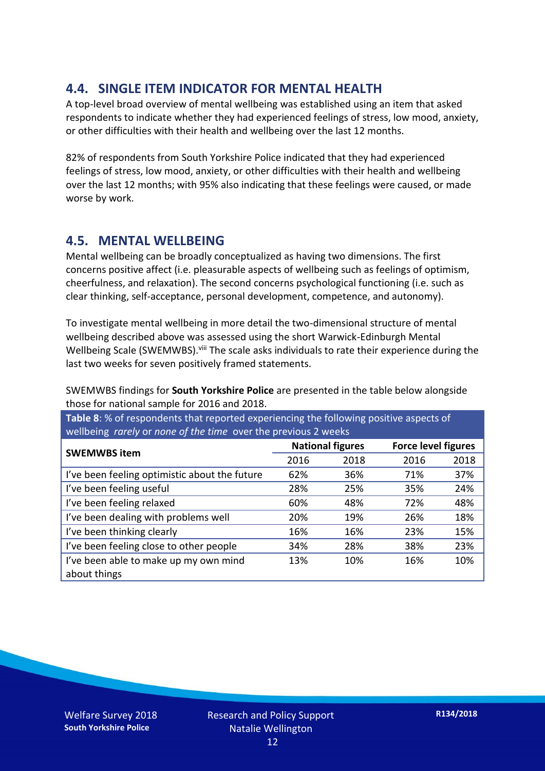### **4.4. SINGLE ITEM INDICATOR FOR MENTAL HEALTH**

A top-level broad overview of mental wellbeing was established using an item that asked respondents to indicate whether they had experienced feelings of stress, low mood, anxiety, or other difficulties with their health and wellbeing over the last 12 months.

82% of respondents from South Yorkshire Police indicated that they had experienced feelings of stress, low mood, anxiety, or other difficulties with their health and wellbeing over the last 12 months; with 95% also indicating that these feelings were caused, or made worse by work.

### **4.5. MENTAL WELLBEING**

Mental wellbeing can be broadly conceptualized as having two dimensions. The first concerns positive affect (i.e. pleasurable aspects of wellbeing such as feelings of optimism, cheerfulness, and relaxation). The second concerns psychological functioning (i.e. such as clear thinking, self-acceptance, personal development, competence, and autonomy).

To investigate mental wellbeing in more detail the two-dimensional structure of mental wellbeing described above was assessed using the short Warwick-Edinburgh Mental Wellbeing Scale (SWEMWBS). viii The scale asks individuals to rate their experience during the last two weeks for seven positively framed statements.

SWEMWBS findings for **South Yorkshire Police** are presented in the table below alongside those for national sample for 2016 and 2018.

**Table 8**: % of respondents that reported experiencing the following positive aspects of wellbeing *rarely* or *none of the time* over the previous 2 weeks

| <b>SWEMWBS item</b>                           | <b>National figures</b> |      | <b>Force level figures</b> |      |
|-----------------------------------------------|-------------------------|------|----------------------------|------|
|                                               | 2016                    | 2018 | 2016                       | 2018 |
| I've been feeling optimistic about the future | 62%                     | 36%  | 71%                        | 37%  |
| I've been feeling useful                      | 28%                     | 25%  | 35%                        | 24%  |
| I've been feeling relaxed                     | 60%                     | 48%  | 72%                        | 48%  |
| I've been dealing with problems well          | 20%                     | 19%  | 26%                        | 18%  |
| I've been thinking clearly                    | 16%                     | 16%  | 23%                        | 15%  |
| I've been feeling close to other people       | 34%                     | 28%  | 38%                        | 23%  |
| I've been able to make up my own mind         | 13%                     | 10%  | 16%                        | 10%  |
| about things                                  |                         |      |                            |      |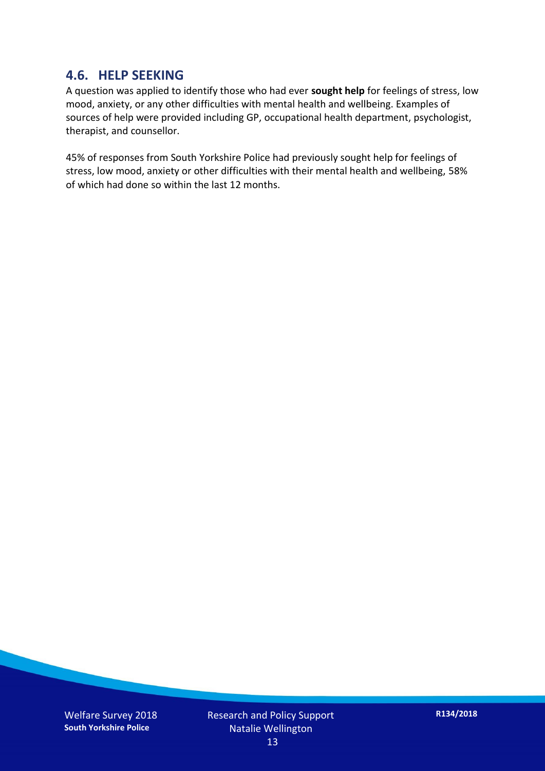#### **4.6. HELP SEEKING**

A question was applied to identify those who had ever **sought help** for feelings of stress, low mood, anxiety, or any other difficulties with mental health and wellbeing. Examples of sources of help were provided including GP, occupational health department, psychologist, therapist, and counsellor.

45% of responses from South Yorkshire Police had previously sought help for feelings of stress, low mood, anxiety or other difficulties with their mental health and wellbeing, 58% of which had done so within the last 12 months.

Welfare Survey 2018 **South Yorkshire Police**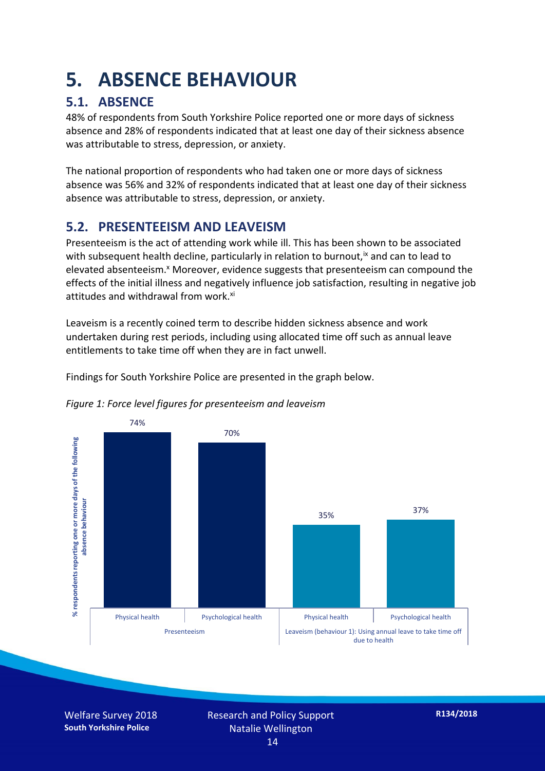## **5. ABSENCE BEHAVIOUR**

## **5.1. ABSENCE**

48% of respondents from South Yorkshire Police reported one or more days of sickness absence and 28% of respondents indicated that at least one day of their sickness absence was attributable to stress, depression, or anxiety.

The national proportion of respondents who had taken one or more days of sickness absence was 56% and 32% of respondents indicated that at least one day of their sickness absence was attributable to stress, depression, or anxiety.

### **5.2. PRESENTEEISM AND LEAVEISM**

Presenteeism is the act of attending work while ill. This has been shown to be associated with subsequent health decline, particularly in relation to burnout,  $\alpha$  and can to lead to elevated absenteeism.<sup>x</sup> Moreover, evidence suggests that presenteeism can compound the effects of the initial illness and negatively influence job satisfaction, resulting in negative job attitudes and withdrawal from work.<sup>xi</sup>

Leaveism is a recently coined term to describe hidden sickness absence and work undertaken during rest periods, including using allocated time off such as annual leave entitlements to take time off when they are in fact unwell.

Findings for South Yorkshire Police are presented in the graph below.





Welfare Survey 2018 **South Yorkshire Police**

Research and Policy Support Natalie Wellington 14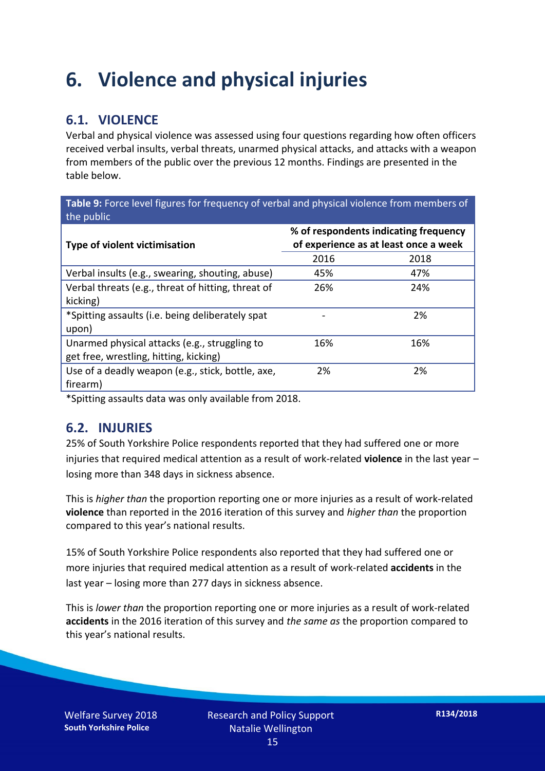## **6. Violence and physical injuries**

## **6.1. VIOLENCE**

Verbal and physical violence was assessed using four questions regarding how often officers received verbal insults, verbal threats, unarmed physical attacks, and attacks with a weapon from members of the public over the previous 12 months. Findings are presented in the table below.

**Table 9:** Force level figures for frequency of verbal and physical violence from members of the public

| Type of violent victimisation                      | % of respondents indicating frequency<br>of experience as at least once a week |      |  |
|----------------------------------------------------|--------------------------------------------------------------------------------|------|--|
|                                                    | 2016                                                                           | 2018 |  |
| Verbal insults (e.g., swearing, shouting, abuse)   | 45%                                                                            | 47%  |  |
| Verbal threats (e.g., threat of hitting, threat of | 26%                                                                            | 24%  |  |
| kicking)                                           |                                                                                |      |  |
| *Spitting assaults (i.e. being deliberately spat   |                                                                                | 2%   |  |
| upon)                                              |                                                                                |      |  |
| Unarmed physical attacks (e.g., struggling to      | 16%                                                                            | 16%  |  |
| get free, wrestling, hitting, kicking)             |                                                                                |      |  |
| Use of a deadly weapon (e.g., stick, bottle, axe,  | 2%                                                                             | 2%   |  |
| firearm)                                           |                                                                                |      |  |

\*Spitting assaults data was only available from 2018.

#### **6.2. INJURIES**

25% of South Yorkshire Police respondents reported that they had suffered one or more injuries that required medical attention as a result of work-related **violence** in the last year – losing more than 348 days in sickness absence.

This is *higher than* the proportion reporting one or more injuries as a result of work-related **violence** than reported in the 2016 iteration of this survey and *higher than* the proportion compared to this year's national results.

15% of South Yorkshire Police respondents also reported that they had suffered one or more injuries that required medical attention as a result of work-related **accidents** in the last year – losing more than 277 days in sickness absence.

This is *lower than* the proportion reporting one or more injuries as a result of work-related **accidents** in the 2016 iteration of this survey and *the same as* the proportion compared to this year's national results.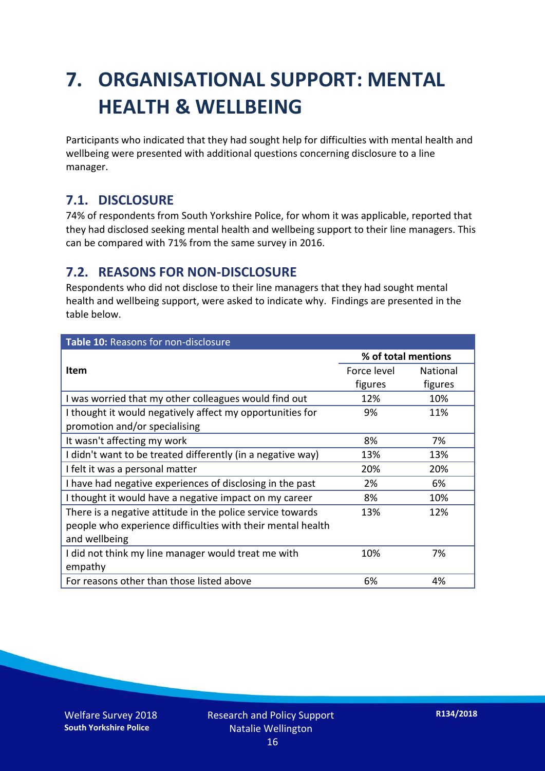## **7. ORGANISATIONAL SUPPORT: MENTAL HEALTH & WELLBEING**

Participants who indicated that they had sought help for difficulties with mental health and wellbeing were presented with additional questions concerning disclosure to a line manager.

### **7.1. DISCLOSURE**

74% of respondents from South Yorkshire Police, for whom it was applicable, reported that they had disclosed seeking mental health and wellbeing support to their line managers. This can be compared with 71% from the same survey in 2016.

### **7.2. REASONS FOR NON-DISCLOSURE**

Respondents who did not disclose to their line managers that they had sought mental health and wellbeing support, were asked to indicate why. Findings are presented in the table below.

| Table 10: Reasons for non-disclosure                        |                     |                 |  |
|-------------------------------------------------------------|---------------------|-----------------|--|
|                                                             | % of total mentions |                 |  |
| <b>Item</b>                                                 | Force level         | <b>National</b> |  |
|                                                             | figures             | figures         |  |
| I was worried that my other colleagues would find out       | 12%                 | 10%             |  |
| I thought it would negatively affect my opportunities for   | 9%                  | 11%             |  |
| promotion and/or specialising                               |                     |                 |  |
| It wasn't affecting my work                                 | 8%                  | 7%              |  |
| I didn't want to be treated differently (in a negative way) | 13%                 | 13%             |  |
| I felt it was a personal matter                             | 20%                 | 20%             |  |
| I have had negative experiences of disclosing in the past   | 2%                  | 6%              |  |
| I thought it would have a negative impact on my career      | 8%                  | 10%             |  |
| There is a negative attitude in the police service towards  | 13%                 | 12%             |  |
| people who experience difficulties with their mental health |                     |                 |  |
| and wellbeing                                               |                     |                 |  |
| I did not think my line manager would treat me with         | 10%                 | 7%              |  |
| empathy                                                     |                     |                 |  |
| For reasons other than those listed above                   | 6%                  | 4%              |  |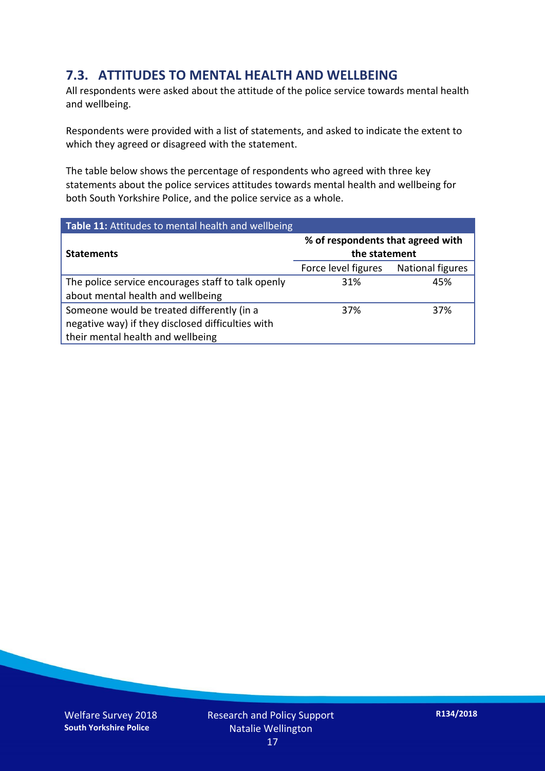### **7.3. ATTITUDES TO MENTAL HEALTH AND WELLBEING**

All respondents were asked about the attitude of the police service towards mental health and wellbeing.

Respondents were provided with a list of statements, and asked to indicate the extent to which they agreed or disagreed with the statement.

The table below shows the percentage of respondents who agreed with three key statements about the police services attitudes towards mental health and wellbeing for both South Yorkshire Police, and the police service as a whole.

| Table 11: Attitudes to mental health and wellbeing |                                                    |                         |  |
|----------------------------------------------------|----------------------------------------------------|-------------------------|--|
| <b>Statements</b>                                  | % of respondents that agreed with<br>the statement |                         |  |
|                                                    | Force level figures                                | <b>National figures</b> |  |
| The police service encourages staff to talk openly | 31%                                                | 45%                     |  |
| about mental health and wellbeing                  |                                                    |                         |  |
| Someone would be treated differently (in a         | 37%                                                | 37%                     |  |
| negative way) if they disclosed difficulties with  |                                                    |                         |  |
| their mental health and wellbeing                  |                                                    |                         |  |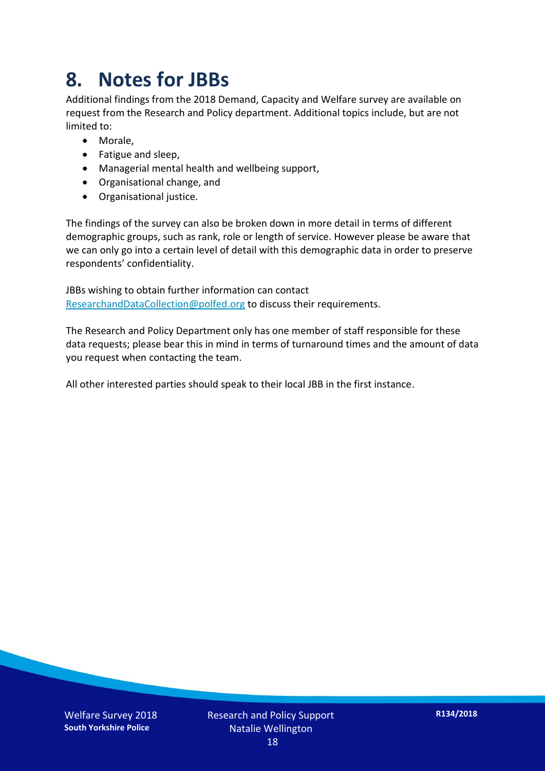## **8. Notes for JBBs**

Additional findings from the 2018 Demand, Capacity and Welfare survey are available on request from the Research and Policy department. Additional topics include, but are not limited to:

- Morale,
- Fatigue and sleep,
- Managerial mental health and wellbeing support,
- Organisational change, and
- Organisational justice.

The findings of the survey can also be broken down in more detail in terms of different demographic groups, such as rank, role or length of service. However please be aware that we can only go into a certain level of detail with this demographic data in order to preserve respondents' confidentiality.

JBBs wishing to obtain further information can contact [ResearchandDataCollection@polfed.org](mailto:ResearchandDataCollection@polfed.org) to discuss their requirements.

The Research and Policy Department only has one member of staff responsible for these data requests; please bear this in mind in terms of turnaround times and the amount of data you request when contacting the team.

All other interested parties should speak to their local JBB in the first instance.